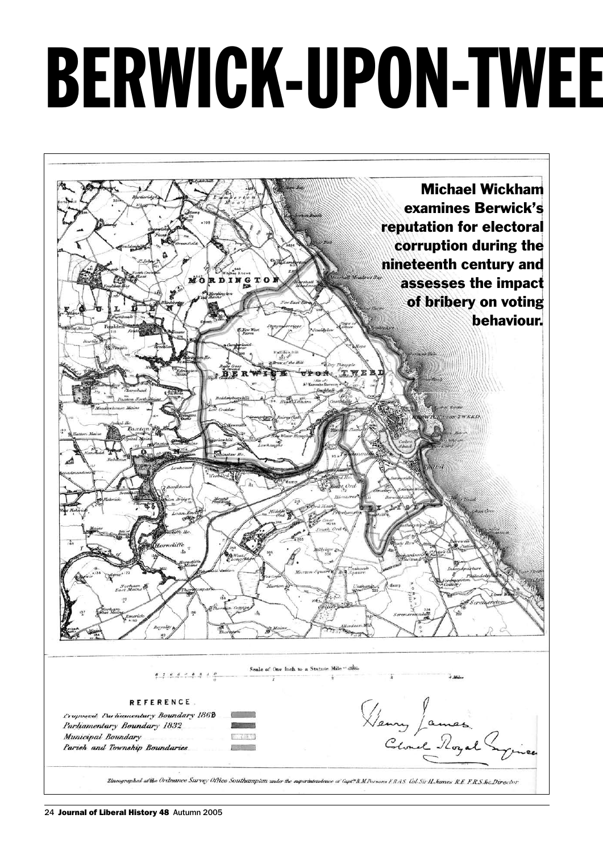# BERWICK-UPON-TWEE

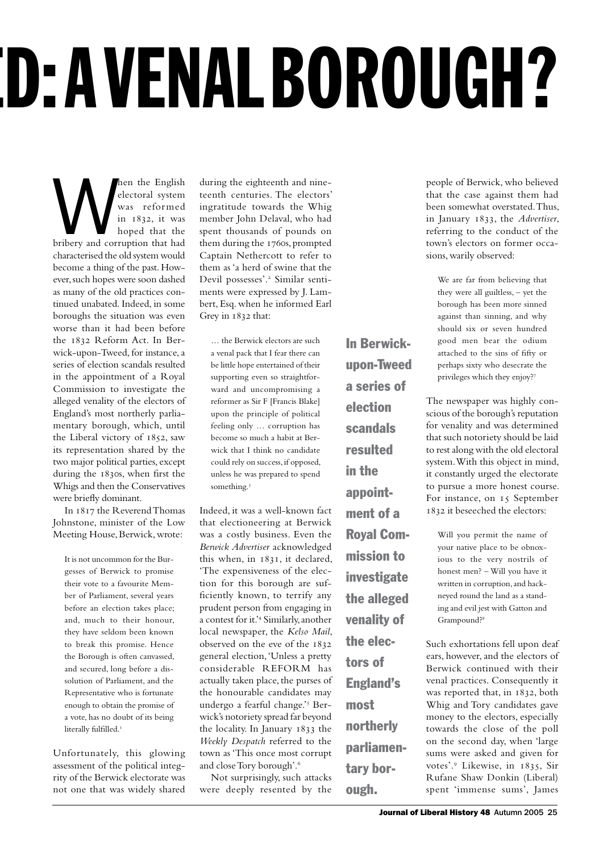# **D: A VENAL BOROUGH?**

Men the English<br>
electoral system<br>
was reformed<br>
in 1832, it was<br>
bribery and corruption that had electoral system was reformed in 1832, it was hoped that the characterised the old system would become a thing of the past. However, such hopes were soon dashed as many of the old practices continued unabated. Indeed, in some boroughs the situation was even worse than it had been before the 1832 Reform Act. In Berwick-upon-Tweed, for instance, a series of election scandals resulted in the appointment of a Royal Commission to investigate the alleged venality of the electors of England's most northerly parliamentary borough, which, until the Liberal victory of 1852, saw its representation shared by the two major political parties, except during the 1830s, when first the Whigs and then the Conservatives were briefly dominant.

In 1817 the Reverend Thomas Johnstone, minister of the Low Meeting House, Berwick, wrote:

It is not uncommon for the Burgesses of Berwick to promise their vote to a favourite Member of Parliament, several years before an election takes place; and, much to their honour, they have seldom been known to break this promise. Hence the Borough is often canvassed, and secured, long before a dissolution of Parliament, and the Representative who is fortunate enough to obtain the promise of a vote, has no doubt of its being literally fulfilled.<sup>1</sup>

Unfortunately, this glowing assessment of the political integrity of the Berwick electorate was not one that was widely shared during the eighteenth and nineteenth centuries. The electors' ingratitude towards the Whig member John Delaval, who had spent thousands of pounds on them during the 1760s, prompted Captain Nethercott to refer to them as 'a herd of swine that the Devil possesses'.<sup>2</sup> Similar sentiments were expressed by J. Lambert, Esq. when he informed Earl Grey in 1832 that:

… the Berwick electors are such a venal pack that I fear there can be little hope entertained of their supporting even so straightforward and uncompromising a reformer as Sir F [Francis Blake] upon the principle of political feeling only … corruption has become so much a habit at Berwick that I think no candidate could rely on success, if opposed, unless he was prepared to spend something.<sup>3</sup>

Indeed, it was a well-known fact that electioneering at Berwick was a costly business. Even the *Berwick Advertiser* acknowledged this when, in 1831, it declared, 'The expensiveness of the election for this borough are sufficiently known, to terrify any prudent person from engaging in a contest for it.'<sup>4</sup> Similarly, another local newspaper, the *Kelso Mail*, observed on the eve of the 1832 general election, 'Unless a pretty considerable REFORM has actually taken place, the purses of the honourable candidates may undergo a fearful change.'<sup>5</sup> Berwick's notoriety spread far beyond the locality. In January 1833 the *Weekly Despatch* referred to the town as 'This once most corrupt and close Tory borough'.<sup>6</sup>

Not surprisingly, such attacks were deeply resented by the In Berwickupon-Tweed a series of election scandals resulted in the appointment of a Royal Commission to investigate the alleged venality of the electors of England's most northerly parliamentary bor-

ough.

people of Berwick, who believed that the case against them had been somewhat overstated. Thus, in January 1833, the *Advertiser*, referring to the conduct of the town's electors on former occasions, warily observed:

We are far from believing that they were all guiltless, – yet the borough has been more sinned against than sinning, and why should six or seven hundred good men bear the odium attached to the sins of fifty or perhaps sixty who desecrate the privileges which they enjoy?<sup>7</sup>

The newspaper was highly conscious of the borough's reputation for venality and was determined that such notoriety should be laid to rest along with the old electoral system. With this object in mind, it constantly urged the electorate to pursue a more honest course. For instance, on 15 September 1832 it beseeched the electors:

Will you permit the name of your native place to be obnoxious to the very nostrils of honest men? – Will you have it written in corruption, and hackneyed round the land as a standing and evil jest with Gatton and Grampound?<sup>8</sup>

Such exhortations fell upon deaf ears, however, and the electors of Berwick continued with their venal practices. Consequently it was reported that, in 1832, both Whig and Tory candidates gave money to the electors, especially towards the close of the poll on the second day, when 'large sums were asked and given for votes'.<sup>9</sup> Likewise, in 1835, Sir Rufane Shaw Donkin (Liberal) spent 'immense sums', James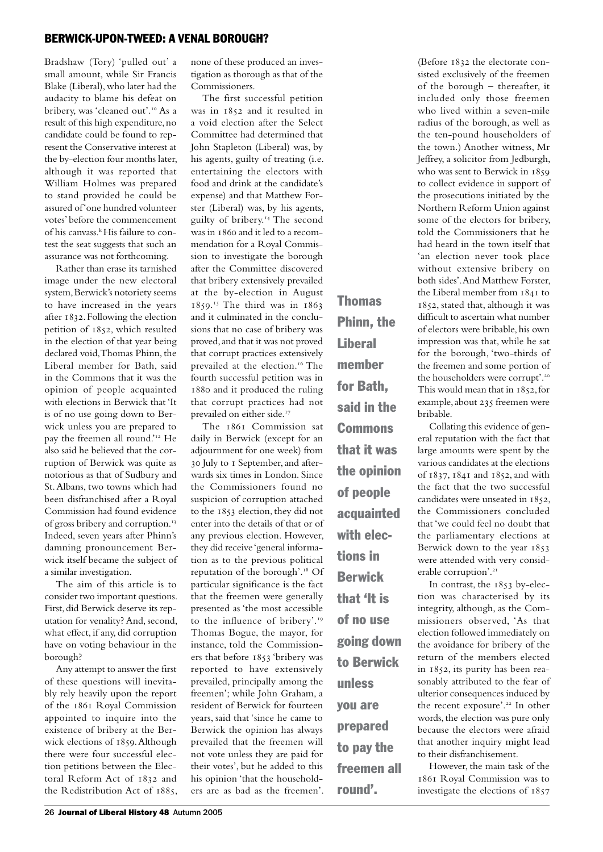Bradshaw (Tory) 'pulled out' a small amount, while Sir Francis Blake (Liberal), who later had the audacity to blame his defeat on bribery, was 'cleaned out'.<sup>10</sup> As a result of this high expenditure, no candidate could be found to represent the Conservative interest at the by-election four months later, although it was reported that William Holmes was prepared to stand provided he could be assured of 'one hundred volunteer votes' before the commencement of his canvass.<sup>k</sup> His failure to contest the seat suggests that such an assurance was not forthcoming.

Rather than erase its tarnished image under the new electoral system, Berwick's notoriety seems to have increased in the years after 1832. Following the election petition of 1852, which resulted in the election of that year being declared void, Thomas Phinn, the Liberal member for Bath, said in the Commons that it was the opinion of people acquainted with elections in Berwick that 'It is of no use going down to Berwick unless you are prepared to pay the freemen all round.'12 He also said he believed that the corruption of Berwick was quite as notorious as that of Sudbury and St. Albans, two towns which had been disfranchised after a Royal Commission had found evidence of gross bribery and corruption.<sup>13</sup> Indeed, seven years after Phinn's damning pronouncement Berwick itself became the subject of a similar investigation.

The aim of this article is to consider two important questions. First, did Berwick deserve its reputation for venality? And, second, what effect, if any, did corruption have on voting behaviour in the borough?

Any attempt to answer the first of these questions will inevitably rely heavily upon the report of the 1861 Royal Commission appointed to inquire into the existence of bribery at the Berwick elections of 1859. Although there were four successful election petitions between the Electoral Reform Act of 1832 and the Redistribution Act of 1885, none of these produced an investigation as thorough as that of the Commissioners.

The first successful petition was in 1852 and it resulted in a void election after the Select Committee had determined that John Stapleton (Liberal) was, by his agents, guilty of treating (i.e. entertaining the electors with food and drink at the candidate's expense) and that Matthew Forster (Liberal) was, by his agents, guilty of bribery.14 The second was in 1860 and it led to a recommendation for a Royal Commission to investigate the borough after the Committee discovered that bribery extensively prevailed at the by-election in August 1859. <sup>15</sup> The third was in 1863 and it culminated in the conclusions that no case of bribery was proved, and that it was not proved that corrupt practices extensively prevailed at the election.<sup>16</sup> The fourth successful petition was in 1880 and it produced the ruling that corrupt practices had not prevailed on either side.<sup>17</sup>

The 1861 Commission sat daily in Berwick (except for an adjournment for one week) from 30 July to 1 September, and afterwards six times in London. Since the Commissioners found no suspicion of corruption attached to the 1853 election, they did not enter into the details of that or of any previous election. However, they did receive 'general information as to the previous political reputation of the borough'.18 Of particular significance is the fact that the freemen were generally presented as 'the most accessible to the influence of bribery'.<sup>19</sup> Thomas Bogue, the mayor, for instance, told the Commissioners that before 1853 'bribery was reported to have extensively prevailed, principally among the freemen'; while John Graham, a resident of Berwick for fourteen years, said that 'since he came to Berwick the opinion has always prevailed that the freemen will not vote unless they are paid for their votes', but he added to this his opinion 'that the householders are as bad as the freemen'.

Thomas Phinn, the **Liberal** member for Bath, said in the Commons that it was the opinion of people acquainted with elections in Berwick that 'It is of no use going down to Berwick unless you are prepared to pay the freemen all round'.

(Before 1832 the electorate consisted exclusively of the freemen of the borough – thereafter, it included only those freemen who lived within a seven-mile radius of the borough, as well as the ten-pound householders of the town.) Another witness, Mr Jeffrey, a solicitor from Jedburgh, who was sent to Berwick in 1859 to collect evidence in support of the prosecutions initiated by the Northern Reform Union against some of the electors for bribery, told the Commissioners that he had heard in the town itself that 'an election never took place without extensive bribery on both sides'. And Matthew Forster, the Liberal member from 1841 to 1852, stated that, although it was difficult to ascertain what number of electors were bribable, his own impression was that, while he sat for the borough, 'two-thirds of the freemen and some portion of the householders were corrupt'.<sup>20</sup> This would mean that in 1852, for example, about 235 freemen were bribable.

Collating this evidence of general reputation with the fact that large amounts were spent by the various candidates at the elections of 1837, 1841 and 1852, and with the fact that the two successful candidates were unseated in 1852, the Commissioners concluded that 'we could feel no doubt that the parliamentary elections at Berwick down to the year 1853 were attended with very considerable corruption'.<sup>21</sup>

In contrast, the 1853 by-election was characterised by its integrity, although, as the Commissioners observed, 'As that election followed immediately on the avoidance for bribery of the return of the members elected in 1852, its purity has been reasonably attributed to the fear of ulterior consequences induced by the recent exposure'.<sup>22</sup> In other words, the election was pure only because the electors were afraid that another inquiry might lead to their disfranchisement.

However, the main task of the 1861 Royal Commission was to investigate the elections of 1857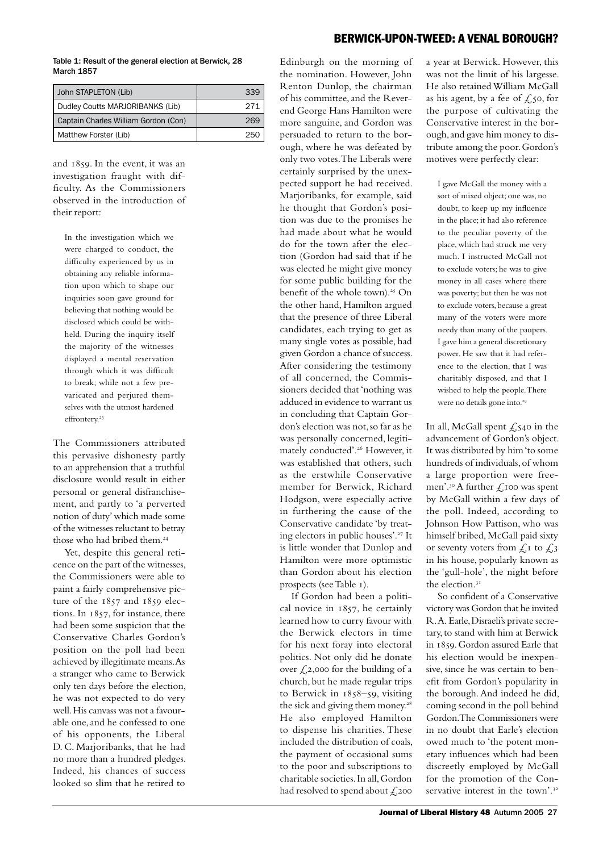Table 1: Result of the general election at Berwick, 28 March 1857

| John STAPLETON (Lib)                 | 339 |
|--------------------------------------|-----|
| Dudley Coutts MARJORIBANKS (Lib)     | 271 |
| Captain Charles William Gordon (Con) | 269 |
| Matthew Forster (Lib)                | つらの |

and 1859. In the event, it was an investigation fraught with difficulty. As the Commissioners observed in the introduction of their report:

In the investigation which we were charged to conduct, the difficulty experienced by us in obtaining any reliable information upon which to shape our inquiries soon gave ground for believing that nothing would be disclosed which could be withheld. During the inquiry itself the majority of the witnesses displayed a mental reservation through which it was difficult to break; while not a few prevaricated and perjured themselves with the utmost hardened effrontery.<sup>23</sup>

The Commissioners attributed this pervasive dishonesty partly to an apprehension that a truthful disclosure would result in either personal or general disfranchisement, and partly to 'a perverted notion of duty' which made some of the witnesses reluctant to betray those who had bribed them.<sup>24</sup>

Yet, despite this general reticence on the part of the witnesses, the Commissioners were able to paint a fairly comprehensive picture of the 1857 and 1859 elections. In 1857, for instance, there had been some suspicion that the Conservative Charles Gordon's position on the poll had been achieved by illegitimate means. As a stranger who came to Berwick only ten days before the election, he was not expected to do very well. His canvass was not a favourable one, and he confessed to one of his opponents, the Liberal D. C. Marjoribanks, that he had no more than a hundred pledges. Indeed, his chances of success looked so slim that he retired to

Edinburgh on the morning of the nomination. However, John Renton Dunlop, the chairman of his committee, and the Reverend George Hans Hamilton were more sanguine, and Gordon was persuaded to return to the borough, where he was defeated by only two votes. The Liberals were certainly surprised by the unexpected support he had received. Marjoribanks, for example, said he thought that Gordon's position was due to the promises he had made about what he would do for the town after the election (Gordon had said that if he was elected he might give money for some public building for the benefit of the whole town).<sup>25</sup> On the other hand, Hamilton argued that the presence of three Liberal candidates, each trying to get as many single votes as possible, had given Gordon a chance of success. After considering the testimony of all concerned, the Commissioners decided that 'nothing was adduced in evidence to warrant us in concluding that Captain Gordon's election was not, so far as he was personally concerned, legitimately conducted'.26 However, it was established that others, such as the erstwhile Conservative member for Berwick, Richard Hodgson, were especially active in furthering the cause of the Conservative candidate 'by treating electors in public houses'.27 It is little wonder that Dunlop and Hamilton were more optimistic than Gordon about his election prospects (see Table 1).

If Gordon had been a political novice in 1857, he certainly learned how to curry favour with the Berwick electors in time for his next foray into electoral politics. Not only did he donate over  $\mathcal{L}$ 2,000 for the building of a church, but he made regular trips to Berwick in 1858–59, visiting the sick and giving them money.<sup>28</sup> He also employed Hamilton to dispense his charities. These included the distribution of coals, the payment of occasional sums to the poor and subscriptions to charitable societies. In all, Gordon had resolved to spend about  $\zeta$ ,200

a year at Berwick. However, this was not the limit of his largesse. He also retained William McGall as his agent, by a fee of  $\zeta$ , so, for the purpose of cultivating the Conservative interest in the borough, and gave him money to distribute among the poor. Gordon's motives were perfectly clear:

I gave McGall the money with a sort of mixed object; one was, no doubt, to keep up my influence in the place; it had also reference to the peculiar poverty of the place, which had struck me very much. I instructed McGall not to exclude voters; he was to give money in all cases where there was poverty; but then he was not to exclude voters, because a great many of the voters were more needy than many of the paupers. I gave him a general discretionary power. He saw that it had reference to the election, that I was charitably disposed, and that I wished to help the people. There were no details gone into.<sup>29</sup>

In all, McGall spent  $\zeta$ , 540 in the advancement of Gordon's object. It was distributed by him 'to some hundreds of individuals, of whom a large proportion were freemen'.<sup>30</sup> A further  $\angle$ 100 was spent by McGall within a few days of the poll. Indeed, according to Johnson How Pattison, who was himself bribed, McGall paid sixty or seventy voters from  $\mathcal{L}$  to  $\mathcal{L}$  3 in his house, popularly known as the 'gull-hole', the night before the election  $3<sup>I</sup>$ 

So confident of a Conservative victory was Gordon that he invited R.A. Earle, Disraeli's private secretary, to stand with him at Berwick in 1859. Gordon assured Earle that his election would be inexpensive, since he was certain to benefit from Gordon's popularity in the borough. And indeed he did, coming second in the poll behind Gordon. The Commissioners were in no doubt that Earle's election owed much to 'the potent monetary influences which had been discreetly employed by McGall for the promotion of the Conservative interest in the town'.<sup>32</sup>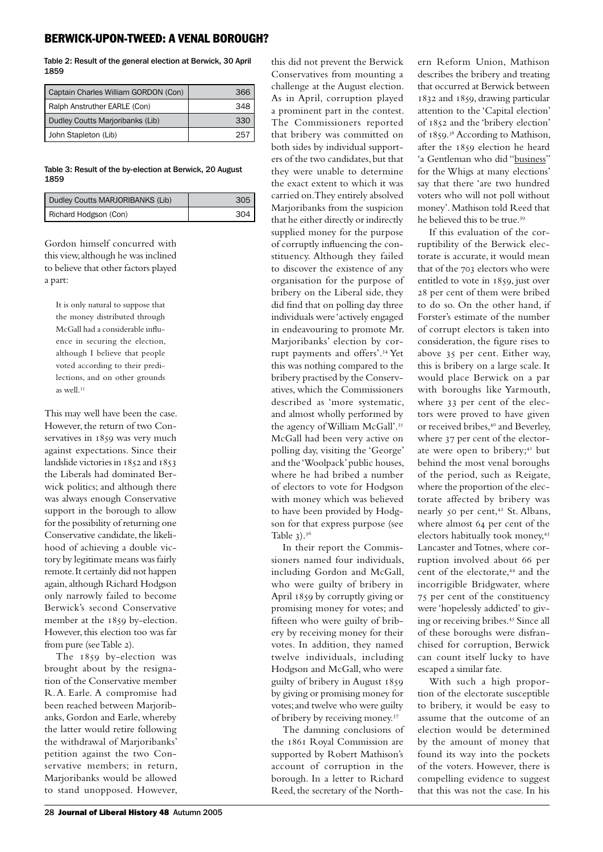Table 2: Result of the general election at Berwick, 30 April 1859

| Captain Charles William GORDON (Con) | 366 |
|--------------------------------------|-----|
| Ralph Anstruther EARLE (Con)         | 348 |
| Dudley Coutts Marjoribanks (Lib)     | 330 |
| John Stapleton (Lib)                 | 25  |

Table 3: Result of the by-election at Berwick, 20 August 1859

| Dudley Coutts MARJORIBANKS (Lib) | 305 |
|----------------------------------|-----|
| Richard Hodgson (Con)            | 304 |

Gordon himself concurred with this view, although he was inclined to believe that other factors played a part:

It is only natural to suppose that the money distributed through McGall had a considerable influence in securing the election, although I believe that people voted according to their predilections, and on other grounds as well<sup>33</sup>

This may well have been the case. However, the return of two Conservatives in 1859 was very much against expectations. Since their landslide victories in 1852 and 1853 the Liberals had dominated Berwick politics; and although there was always enough Conservative support in the borough to allow for the possibility of returning one Conservative candidate, the likelihood of achieving a double victory by legitimate means was fairly remote. It certainly did not happen again, although Richard Hodgson only narrowly failed to become Berwick's second Conservative member at the 1859 by-election. However, this election too was far from pure (see Table 2).

The 1859 by-election was brought about by the resignation of the Conservative member R.A. Earle. A compromise had been reached between Marjoribanks, Gordon and Earle, whereby the latter would retire following the withdrawal of Marjoribanks' petition against the two Conservative members; in return, Marjoribanks would be allowed to stand unopposed. However,

Conservatives from mounting a challenge at the August election. As in April, corruption played a prominent part in the contest. The Commissioners reported that bribery was committed on both sides by individual supporters of the two candidates, but that they were unable to determine the exact extent to which it was carried on. They entirely absolved Marjoribanks from the suspicion that he either directly or indirectly supplied money for the purpose of corruptly influencing the constituency. Although they failed to discover the existence of any organisation for the purpose of bribery on the Liberal side, they did find that on polling day three individuals were 'actively engaged in endeavouring to promote Mr. Marjoribanks' election by corrupt payments and offers'.34 Yet this was nothing compared to the bribery practised by the Conservatives, which the Commissioners described as 'more systematic, and almost wholly performed by the agency of William McGall'.<sup>35</sup> McGall had been very active on polling day, visiting the 'George' and the 'Woolpack' public houses, where he had bribed a number of electors to vote for Hodgson with money which was believed to have been provided by Hodgson for that express purpose (see Table  $3$ ).<sup>36</sup>

this did not prevent the Berwick

In their report the Commissioners named four individuals, including Gordon and McGall, who were guilty of bribery in April 1859 by corruptly giving or promising money for votes; and fifteen who were guilty of bribery by receiving money for their votes. In addition, they named twelve individuals, including Hodgson and McGall, who were guilty of bribery in August 1859 by giving or promising money for votes; and twelve who were guilty of bribery by receiving money.<sup>37</sup>

The damning conclusions of the 1861 Royal Commission are supported by Robert Mathison's account of corruption in the borough. In a letter to Richard Reed, the secretary of the Northern Reform Union, Mathison describes the bribery and treating that occurred at Berwick between 1832 and 1859, drawing particular attention to the 'Capital election' of 1852 and the 'bribery election' of 1859. <sup>38</sup> According to Mathison, after the 1859 election he heard 'a Gentleman who did "business" for the Whigs at many elections' say that there 'are two hundred voters who will not poll without money'. Mathison told Reed that he believed this to be true.<sup>39</sup>

If this evaluation of the corruptibility of the Berwick electorate is accurate, it would mean that of the 703 electors who were entitled to vote in 1859, just over 28 per cent of them were bribed to do so. On the other hand, if Forster's estimate of the number of corrupt electors is taken into consideration, the figure rises to above 35 per cent. Either way, this is bribery on a large scale. It would place Berwick on a par with boroughs like Yarmouth, where 33 per cent of the electors were proved to have given or received bribes,<sup>40</sup> and Beverley, where 37 per cent of the electorate were open to bribery;<sup>41</sup> but behind the most venal boroughs of the period, such as Reigate, where the proportion of the electorate affected by bribery was nearly 50 per cent,<sup>42</sup> St. Albans, where almost 64 per cent of the electors habitually took money,<sup>43</sup> Lancaster and Totnes, where corruption involved about 66 per cent of the electorate,<sup>44</sup> and the incorrigible Bridgwater, where 75 per cent of the constituency were 'hopelessly addicted' to giving or receiving bribes.45 Since all of these boroughs were disfranchised for corruption, Berwick can count itself lucky to have escaped a similar fate.

With such a high proportion of the electorate susceptible to bribery, it would be easy to assume that the outcome of an election would be determined by the amount of money that found its way into the pockets of the voters. However, there is compelling evidence to suggest that this was not the case. In his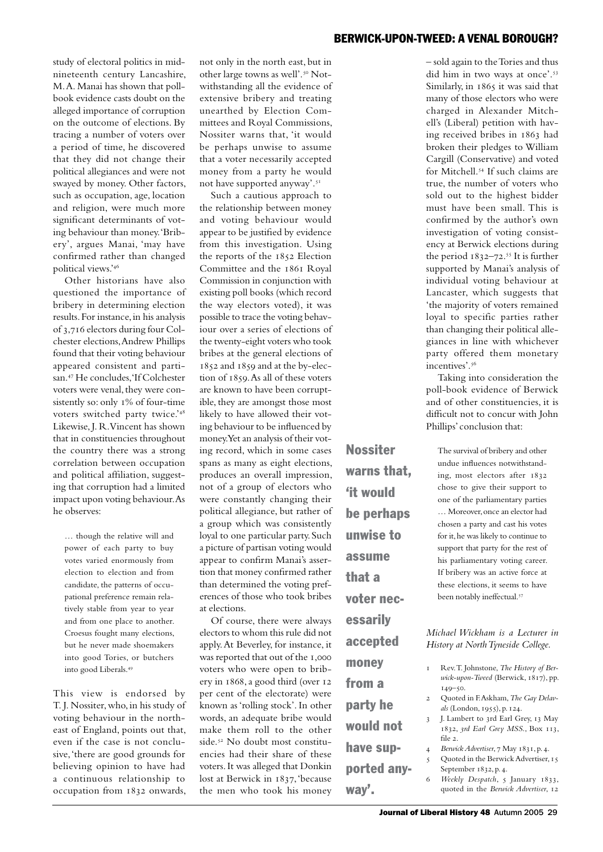study of electoral politics in midnineteenth century Lancashire, M.A. Manai has shown that pollbook evidence casts doubt on the alleged importance of corruption on the outcome of elections. By tracing a number of voters over a period of time, he discovered that they did not change their political allegiances and were not swayed by money. Other factors, such as occupation, age, location and religion, were much more significant determinants of voting behaviour than money. 'Bribery', argues Manai, 'may have confirmed rather than changed political views.'<sup>46</sup>

Other historians have also questioned the importance of bribery in determining election results. For instance, in his analysis of 3,716 electors during four Colchester elections, Andrew Phillips found that their voting behaviour appeared consistent and partisan.47 He concludes, 'If Colchester voters were venal, they were consistently so: only 1% of four-time voters switched party twice.'<sup>48</sup> Likewise, J. R.Vincent has shown that in constituencies throughout the country there was a strong correlation between occupation and political affiliation, suggesting that corruption had a limited impact upon voting behaviour. As he observes:

… though the relative will and power of each party to buy votes varied enormously from election to election and from candidate, the patterns of occupational preference remain relatively stable from year to year and from one place to another. Croesus fought many elections, but he never made shoemakers into good Tories, or butchers into good Liberals.<sup>49</sup>

This view is endorsed by T. J. Nossiter, who, in his study of voting behaviour in the northeast of England, points out that, even if the case is not conclusive, 'there are good grounds for believing opinion to have had a continuous relationship to occupation from 1832 onwards, not only in the north east, but in other large towns as well'.50 Notwithstanding all the evidence of extensive bribery and treating unearthed by Election Committees and Royal Commissions, Nossiter warns that, 'it would be perhaps unwise to assume that a voter necessarily accepted money from a party he would not have supported anyway'.<sup>51</sup>

Such a cautious approach to the relationship between money and voting behaviour would appear to be justified by evidence from this investigation. Using the reports of the 1852 Election Committee and the 1861 Royal Commission in conjunction with existing poll books (which record the way electors voted), it was possible to trace the voting behaviour over a series of elections of the twenty-eight voters who took bribes at the general elections of 1852 and 1859 and at the by-election of 1859. As all of these voters are known to have been corruptible, they are amongst those most likely to have allowed their voting behaviour to be influenced by money. Yet an analysis of their voting record, which in some cases spans as many as eight elections, produces an overall impression, not of a group of electors who were constantly changing their political allegiance, but rather of a group which was consistently loyal to one particular party. Such a picture of partisan voting would appear to confirm Manai's assertion that money confirmed rather than determined the voting preferences of those who took bribes at elections.

Of course, there were always electors to whom this rule did not apply. At Beverley, for instance, it was reported that out of the 1,000 voters who were open to bribery in 1868, a good third (over 12 per cent of the electorate) were known as 'rolling stock'. In other words, an adequate bribe would make them roll to the other side.<sup>52</sup> No doubt most constituencies had their share of these voters. It was alleged that Donkin lost at Berwick in 1837, 'because the men who took his money Nossiter warns that, 'it would be perhaps unwise to assume that a voter necessarily accepted money from a party he would not have supported anyway'.

– sold again to the Tories and thus did him in two ways at once'.<sup>53</sup> Similarly, in 1865 it was said that many of those electors who were charged in Alexander Mitchell's (Liberal) petition with having received bribes in 1863 had broken their pledges to William Cargill (Conservative) and voted for Mitchell.54 If such claims are true, the number of voters who sold out to the highest bidder must have been small. This is confirmed by the author's own investigation of voting consistency at Berwick elections during the period 1832–72. <sup>55</sup> It is further supported by Manai's analysis of individual voting behaviour at Lancaster, which suggests that 'the majority of voters remained loyal to specific parties rather than changing their political allegiances in line with whichever party offered them monetary incentives'.<sup>56</sup>

Taking into consideration the poll-book evidence of Berwick and of other constituencies, it is difficult not to concur with John Phillips' conclusion that:

The survival of bribery and other undue influences notwithstanding, most electors after 1832 chose to give their support to one of the parliamentary parties … Moreover, once an elector had chosen a party and cast his votes for it, he was likely to continue to support that party for the rest of his parliamentary voting career. If bribery was an active force at these elections, it seems to have been notably ineffectual.<sup>57</sup>

*Michael Wickham is a Lecturer in History at North Tyneside College.* 

- 1 Rev. T. Johnstone, *The History of Berwick-upon-Tweed* (Berwick, 1817), pp. 149–50.
- 2 Quoted in F. Askham, *The Gay Delavals* (London, 1955), p. 124.
- 3 J. Lambert to 3rd Earl Grey, 13 May 1832, *3rd Earl Grey MSS*., Box 113, file 2.
- 4 *Berwick Advertiser*, 7 May 1831, p. 4.
- 5 Quoted in the Berwick Advertiser, 15 September 1832, p. 4.
- 6 *Weekly Despatch*, 5 January 1833, quoted in the *Berwick Advertiser*, 12